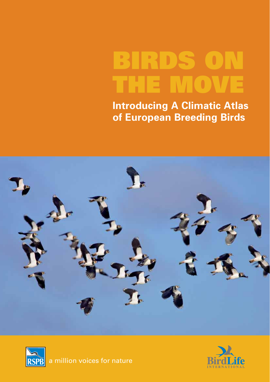# **BIRDS ON THE MOVE**

**Introducing A Climatic Atlas of European Breeding Birds**





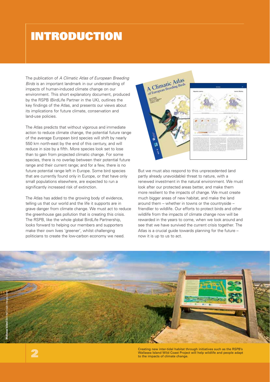### **INTRODUCTION**

The publication of A Climatic Atlas of European Breeding Birds is an important landmark in our understanding of impacts of human-induced climate change on our environment. This short explanatory document, produced by the RSPB (BirdLife Partner in the UK), outlines the key findings of the Atlas, and presents our views about its implications for future climate, conservation and land-use policies.

The Atlas predicts that without vigorous and immediate action to reduce climate change, the potential future range of the average European bird species will shift by nearly 550 km north-east by the end of this century, and will reduce in size by a fifth. More species look set to lose than to gain from projected climatic change. For some species, there is no overlap between their potential future range and their current range; and for a few, there is no future potential range left in Europe. Some bird species that are currently found only in Europe, or that have only small populations elsewhere, are expected to run a significantly increased risk of extinction.

The Atlas has added to the growing body of evidence, telling us that our world and the life it supports are in grave danger from climate change. We must act to reduce the greenhouse gas pollution that is creating this crisis. The RSPB, like the whole global BirdLife Partnership, looks forward to helping our members and supporters make their own lives 'greener', whilst challenging politicians to create the low-carbon economy we need.



But we must also respond to this unprecedented (and partly already unavoidable) threat to nature, with a renewed investment in the natural environment. We must look after our protected areas better, and make them more resilient to the impacts of change. We must create much bigger areas of new habitat, and make the land around them – whether in towns or the countryside – friendlier to wildlife. Our efforts to protect birds and other wildlife from the impacts of climate change now will be rewarded in the years to come, when we look around and see that we have survived the current crisis together. The Atlas is a crucial guide towards planning for the future – now it is up to us to act.



Creating new inter-tidal habitat through initiatives such as the RSPB's Wallasea Island Wild Coast Project will help wildlife and people adapt to the impacts of climate change.

**2**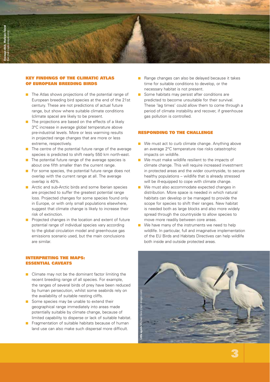

#### **KEY FINDINGS OF THE CLIMATIC ATLAS OF EUROPEAN BREEDING BIRDS**

- **The Atlas shows projections of the potential range of** European breeding bird species at the end of the 21st century. These are not predictions of actual future range, but show where suitable climate conditions (climate space) are likely to be present.
- $\blacksquare$  The projections are based on the effects of a likely 3°C increase in average global temperature above pre-industrial levels. More or less warming results in projected range changes that are more or less extreme, respectively.
- **The centre of the potential future range of the average** species is predicted to shift nearly 550 km north-east.
- **The potential future range of the average species is** about one fifth smaller than the current range.
- **For some species, the potential future range does not** overlap with the current range at all. The average overlap is 40%.
- **E** Arctic and sub-Arctic birds and some Iberian species are projected to suffer the greatest potential range loss. Projected changes for some species found only in Europe, or with only small populations elsewhere, suggest that climate change is likely to increase their risk of extinction.
- **Projected changes in the location and extent of future** potential range of individual species vary according to the global circulation model and greenhouse gas emissions scenario used, but the main conclusions are similar.

#### **INTERPRETING THE MAPS: ESSENTIAL CAVEATS**

- **E** Climate may not be the dominant factor limiting the recent breeding range of all species. For example, the ranges of several birds of prey have been reduced by human persecution, whilst some seabirds rely on the availability of suitable nesting cliffs.
- **Some species may be unable to extend their** geographical range immediately into areas made potentially suitable by climate change, because of limited capability to disperse or lack of suitable habitat.
- - Fragmentation of suitable habitats because of human land use can also make such dispersal more difficult.
- **Range changes can also be delayed because it takes** time for suitable conditions to develop, or the necessary habitat is not present.
- **Some habitats may persist after conditions are** predicted to become unsuitable for their survival. These 'lag times' could allow them to come through a period of climate instability and recover, if greenhouse gas pollution is controlled.

#### **RESPONDING TO THE CHALLENGE**

- **Nome 10 Nome 20 Nove 20 Nove 20 Nove 20 Nove 20 Nove 20 Nove 20 Nove 20 Nove 20 Nove 20 Nove 20 Nove 20 Nove 20 Nove 20 Nove 20 Nove 20 Nove 20 Nove 20 Nove 20 Nove 20 Nove 20 Nove 20 Nove 20 Nove 20 Nove 20 Nove 20 Nove** an average 2°C temperature rise risks catastrophic impacts on wildlife.
- **Nomos** We must make wildlife resilient to the impacts of climate change. This will require increased investment in protected areas and the wider countryside, to secure healthy populations – wildlife that is already stressed will be ill-equipped to cope with climate change.
- **Ne must also accommodate expected changes in** distribution. More space is needed in which natural habitats can develop or be managed to provide the scope for species to shift their ranges. New habitat is needed both as large blocks and also more widely spread through the countryside to allow species to move more readily between core areas.
- - We have many of the instruments we need to help wildlife. In particular, full and imaginative implementation of the EU Birds and Habitats Directives can help wildlife both inside and outside protected areas.



**3**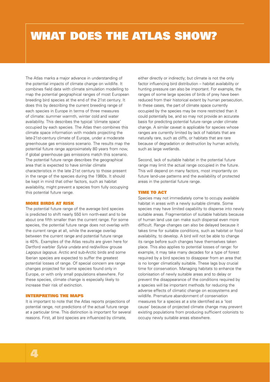### **WHAT DOES THE ATLAS SHOW?**

The Atlas marks a major advance in understanding of the potential impacts of climate change on wildlife. It combines field data with climate simulation modelling to map the potential geographical ranges of most European breeding bird species at the end of the 21st century. It does this by describing the current breeding range of each species in Europe in terms of three measures of climate: summer warmth, winter cold and water availability. This describes the typical 'climate space' occupied by each species. The Atlas then combines this climate space information with models projecting the late-21st-century climate of Europe, under a moderate greenhouse gas emissions scenario. The results map the potential future range approximately 80 years from now, if global greenhouse gas emissions match this scenario. The potential future range describes the geographical area that is expected to have similar climate characteristics in the late 21st century to those present in the range of the species during the 1980s. It should be kept in mind that other factors, such as habitat availability, might prevent a species from fully occupying this potential future range.

#### **MORE BIRDS AT RISK**

The potential future range of the average bird species is predicted to shift nearly 550 km north-east and to be about one fifth smaller than the current range. For some species, the potential future range does not overlap with the current range at all, while the average overlap between the current range and potential future range is 40%. Examples of the Atlas results are given here for Dartford warbler Sylvia undata and red/willow grouse Lagopus lagopus. Arctic and sub-Arctic birds and some Iberian species are expected to suffer the greatest potential losses of range. Of special concern are range changes projected for some species found only in Europe, or with only small populations elsewhere. For these species, climate change is especially likely to increase their risk of extinction.

#### **INTERPRETING THE MAPS**

It is important to note that the Atlas reports projections of potential range, not predictions of the actual future range at a particular time. This distinction is important for several reasons. First, all bird species are influenced by climate,

either directly or indirectly; but climate is not the only factor influencing bird distribution – habitat availability or hunting pressure can also be important. For example, the ranges of some large species of birds of prey have been reduced from their historical extent by human persecution. In these cases, the part of climate space currently occupied by the species may be more restricted than it could potentially be, and so may not provide an accurate basis for predicting potential future range under climate change. A similar caveat is applicable for species whose ranges are currently limited by lack of habitats that are naturally rare, such as cliffs, or habitats that are rare because of degradation or destruction by human activity, such as large wetlands.

Second, lack of suitable habitat in the potential future range may limit the actual range occupied in the future. This will depend on many factors, most importantly on future land-use patterns and the availability of protected areas in the potential future range.

#### **TIME TO ACT**

Species may not immediately come to occupy available habitat in areas with a newly suitable climate. Some species may have limited capability to disperse into newly suitable areas. Fragmentation of suitable habitats because of human land use can make such dispersal even more difficult. Range changes can also be delayed because it takes time for suitable conditions, such as habitat or food availability, to develop. A bird will not be able to change its range before such changes have themselves taken place. This also applies to potential losses of range: for example, it may take many decades for a type of forest required by a bird species to disappear from an area that is no longer climatically suitable. These lags buy crucial time for conservation. Managing habitats to enhance the colonisation of newly suitable areas and to delay or prevent the disappearance of the conditions required by a species will be important methods for reducing the adverse effects of climatic change on ecosystems and wildlife. Premature abandonment of conservation measures for a species at a site identified as a 'lost cause' because of projected climate change may prevent existing populations from producing sufficient colonists to occupy newly suitable areas elsewhere.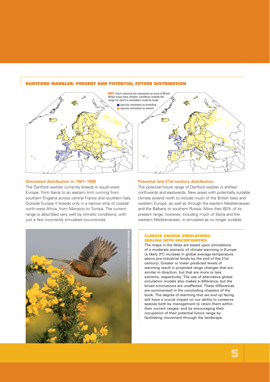#### **DARTFORD WARBLER: PRESENT AND POTENTIAL FUTURE DISTRIBUTION**



#### **Simulated distribution in 1961–1990**

The Dartford warbler currently breeds in south-west Europe, from Iberia to an eastern limit running from southern England across central France and southern Italy. Outside Europe it breeds only in a narrow strip of coastal north-west Africa, from Morocco to Tunisia. The current range is described very well by climatic conditions, with just a few incorrectly simulated occurrences.



#### **Potential late-21st-century distribution**

The potential future range of Dartford warbler is shifted northwards and eastwards. New areas with potentially suitable climate extend north to include much of the British Isles and western Europe, as well as through the eastern Mediterranean and the Balkans to southern Russia. More than 60% of its present range, however, including much of Iberia and the western Mediterranean, is simulated as no longer suitable.

#### **CLIMATE CHANGE SIMULATIONS: DEALING WITH UNCERTAINTIES**

The maps in the Atlas are based upon simulations of a moderate scenario of climate warming in Europe (a likely 3°C increase in global average temperature above pre-industrial levels by the end of the 21st century). Greater or lower predicted levels of warming result in projected range changes that are similar in direction, but that are more or less extreme, respectively. The use of alternative global circulation models also makes a difference, but the broad conclusions are unaffected. These differences are summarised in the concluding chapters of the book. The degree of warming that we end up facing will have a crucial impact on our ability to conserve species both by management to retain them within their current ranges, and by encouraging their occupation of their potential future range by facilitating movement through the landscape.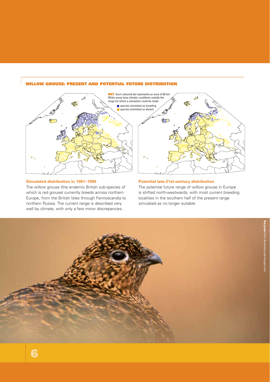#### **WILLOW GROUSE: PRESENT AND POTENTIAL FUTURE DISTRIBUTION**



#### **Simulated distribution in 1961–1990**

The willow grouse (the endemic British sub-species of which is red grouse) currently breeds across northern Europe, from the British Isles through Fennoscandia to northern Russia. The current range is described very well by climate, with only a few minor discrepancies.

#### **Potential late-21st-century distribution**

The potential future range of willow grouse in Europe is shifted north-westwards, with most current breeding localities in the southern half of the present range simulated as no longer suitable.

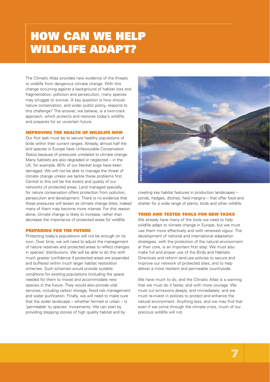## **HOW CAN WE HELP WILDLIFE ADAPT?**

The Climatic Atlas provides new evidence of the threats to wildlife from dangerous climate change. With this change occurring against a background of habitat loss and fragmentation, pollution and persecution, many species may struggle to survive. A key question is how should nature conservation, and wider public policy, respond to this challenge? The answer, we believe, is a twin-track approach, which protects and restores today's wildlife, and prepares for an uncertain future.

#### **IMPROVING THE HEALTH OF WILDLIFE NOW**

Our first task must be to secure healthy populations of birds within their current ranges. Already, almost half the bird species in Europe have Unfavourable Conservation Status because of pressures unrelated to climate change. Many habitats are also degraded or neglected – in the UK, for example, 80% of our blanket bogs have been damaged. We will not be able to manage the threat of climate change unless we tackle these problems first. Central to this will be the extent and quality of our networks of protected areas. Land managed specially for nature conservation offers protection from pollution, persecution and development. There is no evidence that these pressures will lessen as climate change bites; indeed many of them may become more intense. For this reason alone, climate change is likely to increase, rather than decrease the importance of protected areas for wildlife.

#### **PREPARING FOR THE FUTURE**

Protecting today's populations will not be enough on its own. Over time, we will need to adjust the management of nature reserves and protected areas to reflect changes in species' distributions. We will be able to do this with much greater confidence if protected areas are expanded and buffered within much larger habitat restoration schemes. Such schemes would provide suitable conditions for existing populations (including the space needed for them to move) and accommodate new species in the future. They would also provide vital services, including carbon storage, flood risk management and water purification. Finally, we will need to make sure that the wider landscape – whether farmed or urban – is 'permeable' to species' movements. We can start by providing stepping stones of high quality habitat and by



creating key habitat features in production landscapes – ponds, hedges, ditches, field margins – that offer food and shelter for a wide range of plants, birds and other wildlife.

#### **TRIED AND TESTED TOOLS FOR NEW TASKS**

We already have many of the tools we need to help wildlife adapt to climate change in Europe, but we must use them more effectively and with renewed vigour. The development of national and international adaptation strategies, with the protection of the natural environment at their core, is an important first step. We must also make full and proper use of the Birds and Habitats Directives and reform land-use policies to secure and improve our network of protected sites, and to help deliver a more resilient and permeable countryside.

We have much to do, and the Climatic Atlas is a warning that we must do it faster, and with more courage. We must cut emissions deeply, and immediately; and we must re-invest in policies to protect and enhance the natural environment. Anything less, and we may find that even if we come through the climate crisis, much of our precious wildlife will not.